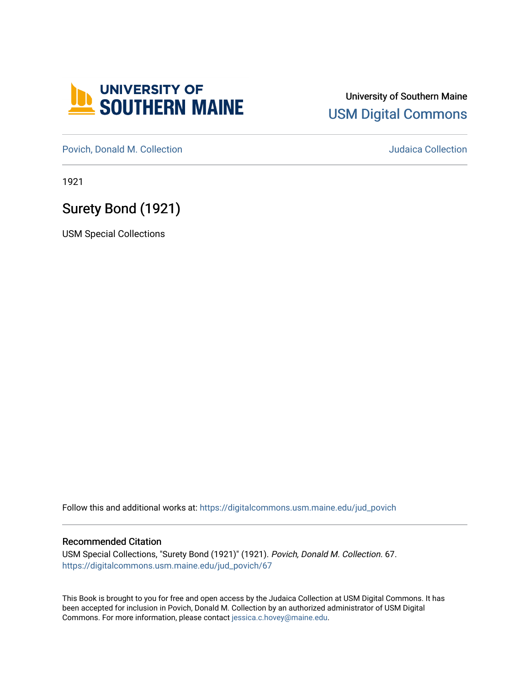

### University of Southern Maine [USM Digital Commons](https://digitalcommons.usm.maine.edu/)

[Povich, Donald M. Collection](https://digitalcommons.usm.maine.edu/jud_povich) [Judaica Collection](https://digitalcommons.usm.maine.edu/judaica) 

1921

## Surety Bond (1921)

USM Special Collections

Follow this and additional works at: [https://digitalcommons.usm.maine.edu/jud\\_povich](https://digitalcommons.usm.maine.edu/jud_povich?utm_source=digitalcommons.usm.maine.edu%2Fjud_povich%2F67&utm_medium=PDF&utm_campaign=PDFCoverPages) 

#### Recommended Citation

USM Special Collections, "Surety Bond (1921)" (1921). Povich, Donald M. Collection. 67. [https://digitalcommons.usm.maine.edu/jud\\_povich/67](https://digitalcommons.usm.maine.edu/jud_povich/67?utm_source=digitalcommons.usm.maine.edu%2Fjud_povich%2F67&utm_medium=PDF&utm_campaign=PDFCoverPages)

This Book is brought to you for free and open access by the Judaica Collection at USM Digital Commons. It has been accepted for inclusion in Povich, Donald M. Collection by an authorized administrator of USM Digital Commons. For more information, please contact [jessica.c.hovey@maine.edu.](mailto:ian.fowler@maine.edu)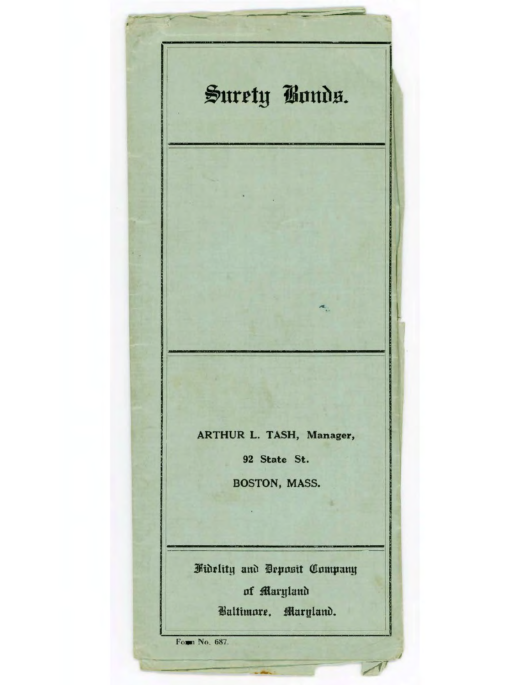